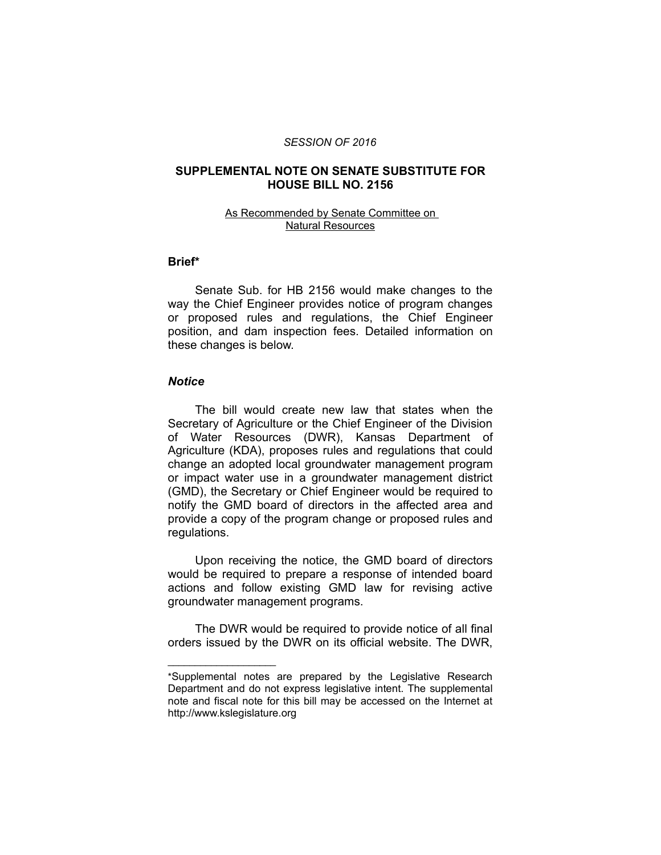#### *SESSION OF 2016*

# **SUPPLEMENTAL NOTE ON SENATE SUBSTITUTE FOR HOUSE BILL NO. 2156**

### As Recommended by Senate Committee on Natural Resources

# **Brief\***

Senate Sub. for HB 2156 would make changes to the way the Chief Engineer provides notice of program changes or proposed rules and regulations, the Chief Engineer position, and dam inspection fees. Detailed information on these changes is below.

# *Notice*

 $\overline{\phantom{a}}$  , where  $\overline{\phantom{a}}$  , where  $\overline{\phantom{a}}$ 

The bill would create new law that states when the Secretary of Agriculture or the Chief Engineer of the Division of Water Resources (DWR), Kansas Department of Agriculture (KDA), proposes rules and regulations that could change an adopted local groundwater management program or impact water use in a groundwater management district (GMD), the Secretary or Chief Engineer would be required to notify the GMD board of directors in the affected area and provide a copy of the program change or proposed rules and regulations.

Upon receiving the notice, the GMD board of directors would be required to prepare a response of intended board actions and follow existing GMD law for revising active groundwater management programs.

The DWR would be required to provide notice of all final orders issued by the DWR on its official website. The DWR,

<sup>\*</sup>Supplemental notes are prepared by the Legislative Research Department and do not express legislative intent. The supplemental note and fiscal note for this bill may be accessed on the Internet at http://www.kslegislature.org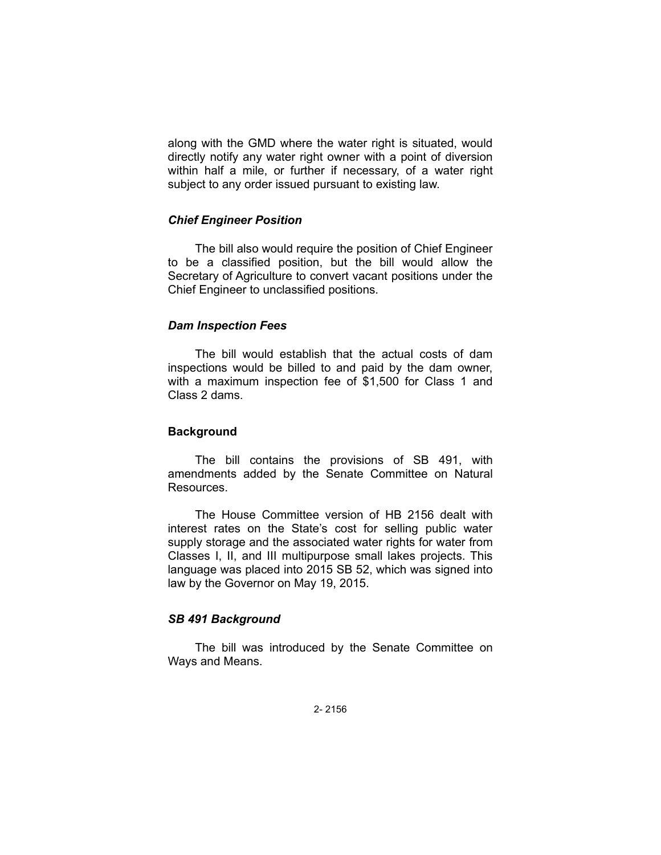along with the GMD where the water right is situated, would directly notify any water right owner with a point of diversion within half a mile, or further if necessary, of a water right subject to any order issued pursuant to existing law.

## *Chief Engineer Position*

The bill also would require the position of Chief Engineer to be a classified position, but the bill would allow the Secretary of Agriculture to convert vacant positions under the Chief Engineer to unclassified positions.

# *Dam Inspection Fees*

The bill would establish that the actual costs of dam inspections would be billed to and paid by the dam owner, with a maximum inspection fee of \$1,500 for Class 1 and Class 2 dams.

### **Background**

The bill contains the provisions of SB 491, with amendments added by the Senate Committee on Natural Resources.

The House Committee version of HB 2156 dealt with interest rates on the State's cost for selling public water supply storage and the associated water rights for water from Classes I, II, and III multipurpose small lakes projects. This language was placed into 2015 SB 52, which was signed into law by the Governor on May 19, 2015.

# *SB 491 Background*

The bill was introduced by the Senate Committee on Ways and Means.